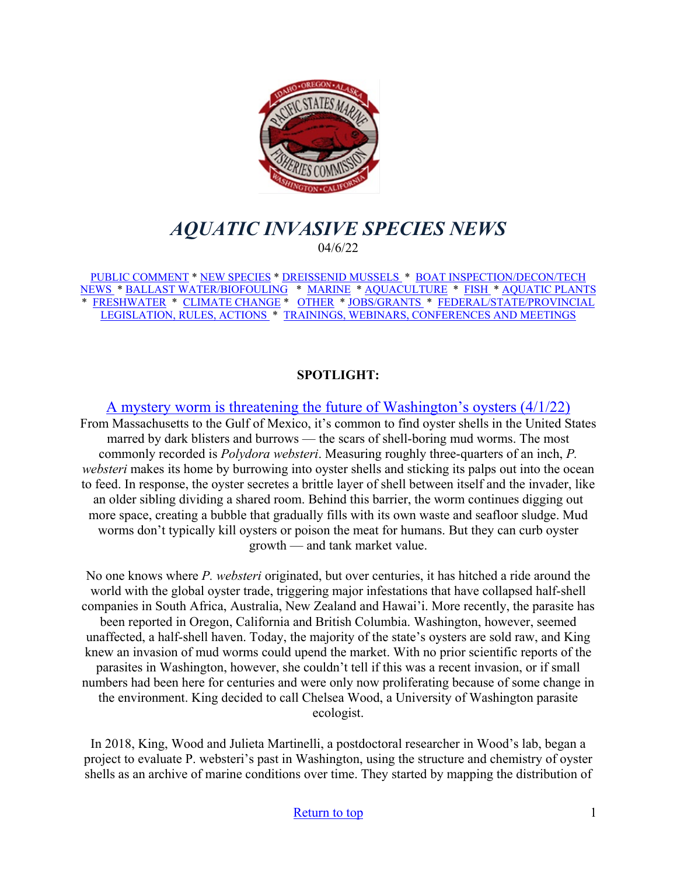<span id="page-0-0"></span>

# *AQUATIC INVASIVE SPECIES NEWS* 04/6/22

[PUBLIC COMMENT](#page-1-0) \* [NEW SPECIES](#page-2-0) \* [DREISSENID MUSSELS](#page-4-0) \* [BOAT INSPECTION/DECON/TECH](#page-4-1)  [NEWS](#page-4-1) [\\* BALLAST WATER/BIOFOULING](#page-5-0) \* [MARINE](#page-6-0) \* [AQUACULTURE](#page-7-0) \* [FISH](#page-7-1) \* [AQUATIC PLANTS](#page-8-0)  \* [FRESHWATER](#page-9-0) \* [CLIMATE CHANGE](#page-9-1) \* [OTHER](#page-9-2) \* [JOBS/GRANTS](#page-9-3) \* [FEDERAL/STATE/PROVINCIAL](#page-15-0)  [LEGISLATION, RULES, ACTIONS](#page-15-0) \* [TRAININGS, WEBINARS, CONFERENCES AND MEETINGS](#page-17-0) 

### **SPOTLIGHT:**

[A mystery worm is threatening the future of Washington's oysters \(4/1/22\)](https://www.hcn.org/issues/54.4/north-scientific-research-a-mystery-worm-is-threatening-the-future-of-washingtons-oysters) From Massachusetts to the Gulf of Mexico, it's common to find oyster shells in the United States marred by dark blisters and burrows — the scars of shell-boring mud worms. The most commonly recorded is *Polydora websteri*. Measuring roughly three-quarters of an inch, *P. websteri* makes its home by burrowing into oyster shells and sticking its palps out into the ocean to feed. In response, the oyster secretes a brittle layer of shell between itself and the invader, like an older sibling dividing a shared room. Behind this barrier, the worm continues digging out more space, creating a bubble that gradually fills with its own waste and seafloor sludge. Mud worms don't typically kill oysters or poison the meat for humans. But they can curb oyster growth — and tank market value.

No one knows where *P. websteri* originated, but over centuries, it has hitched a ride around the world with the global oyster trade, triggering major infestations that have collapsed half-shell companies in South Africa, Australia, New Zealand and Hawai'i. More recently, the parasite has been reported in Oregon, California and British Columbia. Washington, however, seemed unaffected, a half-shell haven. Today, the majority of the state's oysters are sold raw, and King knew an invasion of mud worms could upend the market. With no prior scientific reports of the parasites in Washington, however, she couldn't tell if this was a recent invasion, or if small numbers had been here for centuries and were only now proliferating because of some change in the environment. King decided to call Chelsea Wood, a University of Washington parasite ecologist.

In 2018, King, Wood and Julieta Martinelli, a postdoctoral researcher in Wood's lab, began a project to evaluate P. websteri's past in Washington, using the structure and chemistry of oyster shells as an archive of marine conditions over time. They started by mapping the distribution of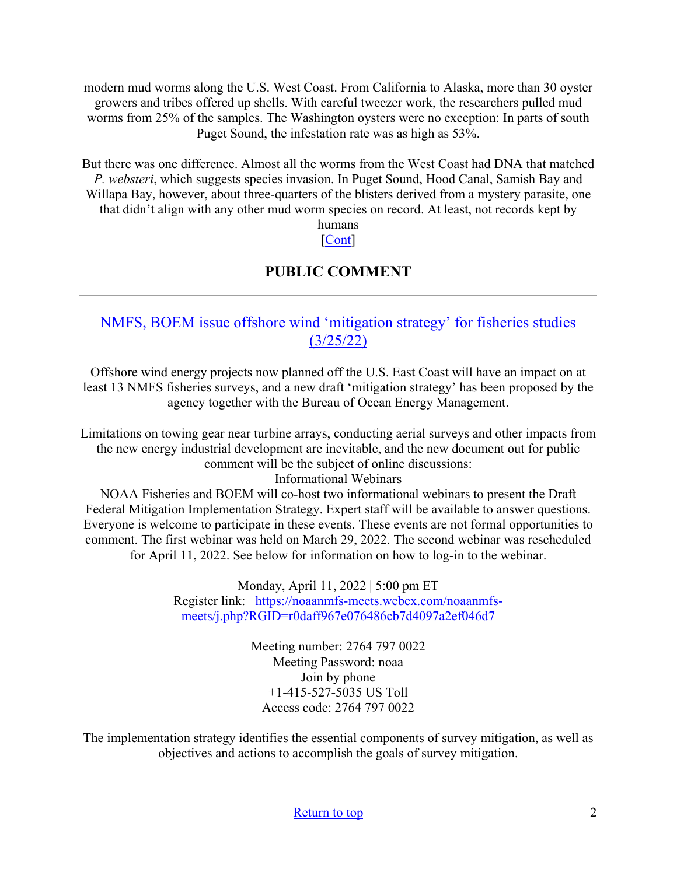modern mud worms along the U.S. West Coast. From California to Alaska, more than 30 oyster growers and tribes offered up shells. With careful tweezer work, the researchers pulled mud worms from 25% of the samples. The Washington oysters were no exception: In parts of south Puget Sound, the infestation rate was as high as 53%.

But there was one difference. Almost all the worms from the West Coast had DNA that matched *P. websteri*, which suggests species invasion. In Puget Sound, Hood Canal, Samish Bay and Willapa Bay, however, about three-quarters of the blisters derived from a mystery parasite, one that didn't align with any other mud worm species on record. At least, not records kept by

# humans

# [\[Cont\]](https://www.hcn.org/issues/54.4/north-scientific-research-a-mystery-worm-is-threatening-the-future-of-washingtons-oysters)

## **PUBLIC COMMENT**

## <span id="page-1-0"></span>[NMFS, BOEM issue offshore wind 'mitigation strategy' for fisheries studies](https://www.fisheries.noaa.gov/event/webinar-noaa-fisheries-and-bureau-ocean-energy-management-federal-survey-mitigation)  [\(3/25/22\)](https://www.fisheries.noaa.gov/event/webinar-noaa-fisheries-and-bureau-ocean-energy-management-federal-survey-mitigation)

Offshore wind energy projects now planned off the U.S. East Coast will have an impact on at least 13 NMFS fisheries surveys, and a new draft 'mitigation strategy' has been proposed by the agency together with the Bureau of Ocean Energy Management.

Limitations on towing gear near turbine arrays, conducting aerial surveys and other impacts from the new energy industrial development are inevitable, and the new document out for public comment will be the subject of online discussions: Informational Webinars

NOAA Fisheries and BOEM will co-host two informational webinars to present the Draft Federal Mitigation Implementation Strategy. Expert staff will be available to answer questions. Everyone is welcome to participate in these events. These events are not formal opportunities to comment. The first webinar was held on March 29, 2022. The second webinar was rescheduled for April 11, 2022. See below for information on how to log-in to the webinar.

> Monday, April 11, 2022 | 5:00 pm ET Register link: [https://noaanmfs-meets.webex.com/noaanmfs](https://www.google.com/url?q=https://noaanmfs-meets.webex.com/noaanmfs-meets/j.php?RGID%3Dr0daff967e076486cb7d4097a2ef046d7&sa=D&source=calendar&ust=1649533906383619&usg=AOvVaw1DNuLgXS8BKVVpE_QT3v6u)[meets/j.php?RGID=r0daff967e076486cb7d4097a2ef046d7](https://www.google.com/url?q=https://noaanmfs-meets.webex.com/noaanmfs-meets/j.php?RGID%3Dr0daff967e076486cb7d4097a2ef046d7&sa=D&source=calendar&ust=1649533906383619&usg=AOvVaw1DNuLgXS8BKVVpE_QT3v6u)

> > Meeting number: 2764 797 0022 Meeting Password: noaa Join by phone +1-415-527-5035 US Toll Access code: 2764 797 0022

The implementation strategy identifies the essential components of survey mitigation, as well as objectives and actions to accomplish the goals of survey mitigation.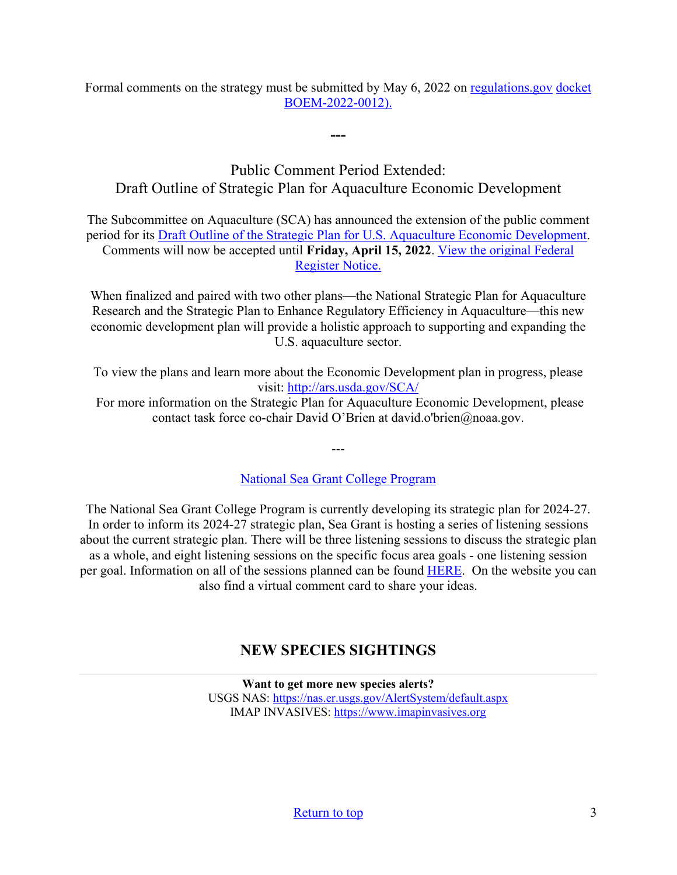Formal comments on the strategy must be submitted by May 6, 2022 on [regulations.gov](https://www.regulations.gov/docket/BOEM-2022-0012) docket [BOEM-2022-0012\).](https://www.regulations.gov/docket/BOEM-2022-0012)

**---**

## Public Comment Period Extended: Draft Outline of Strategic Plan for Aquaculture Economic Development

The Subcommittee on Aquaculture (SCA) has announced the extension of the public comment period for its [Draft Outline of the Strategic Plan for U.S. Aquaculture Economic Development.](https://www.ars.usda.gov/SCA/Documents/DRAFT%20National%20Aquacuture%20Economic%20Development%20Plan_Outline.pdf?utm_medium=email&utm_source=govdelivery) Comments will now be accepted until **Friday, April 15, 2022**. [View the original Federal](https://www.federalregister.gov/documents/2022/03/03/2022-04444/soliciting-comments-on-a-draft-outline-of-a-strategic-plan-for-aquaculture-economic-development-and?utm_medium=email&utm_source=govdelivery)  [Register Notice.](https://www.federalregister.gov/documents/2022/03/03/2022-04444/soliciting-comments-on-a-draft-outline-of-a-strategic-plan-for-aquaculture-economic-development-and?utm_medium=email&utm_source=govdelivery)

When finalized and paired with two other plans—the National Strategic Plan for Aquaculture Research and the Strategic Plan to Enhance Regulatory Efficiency in Aquaculture—this new economic development plan will provide a holistic approach to supporting and expanding the U.S. aquaculture sector.

To view the plans and learn more about the Economic Development plan in progress, please visit:<http://ars.usda.gov/SCA/>

 For more information on the Strategic Plan for Aquaculture Economic Development, please contact task force co-chair David O'Brien at david.o'brien@noaa.gov.

[National Sea Grant College Program](https://seagrant.noaa.gov/News/Article/ArtMID/1660/ArticleID/2899/National-Sea-Grant-College-Program-Seeks-Input-on-its-2024-2027-Strategic-Plan?utm_medium=email&utm_source=govdelivery)

---

The National Sea Grant College Program is currently developing its strategic plan for 2024-27. In order to inform its 2024-27 strategic plan, Sea Grant is hosting a series of listening sessions about the current strategic plan. There will be three listening sessions to discuss the strategic plan as a whole, and eight listening sessions on the specific focus area goals - one listening session per goal. Information on all of the sessions planned can be found [HERE.](https://seagrant.noaa.gov/News/Article/ArtMID/1660/ArticleID/2899/National-Sea-Grant-College-Program-Seeks-Input-on-its-2024-2027-Strategic-Plan?utm_medium=email&utm_source=govdelivery) On the website you can also find a virtual comment card to share your ideas.

## **NEW SPECIES SIGHTINGS**

<span id="page-2-0"></span>**Want to get more new species alerts?** USGS NAS:<https://nas.er.usgs.gov/AlertSystem/default.aspx> IMAP INVASIVES: [https://www.imapinvasives.org](https://www.imapinvasives.org/)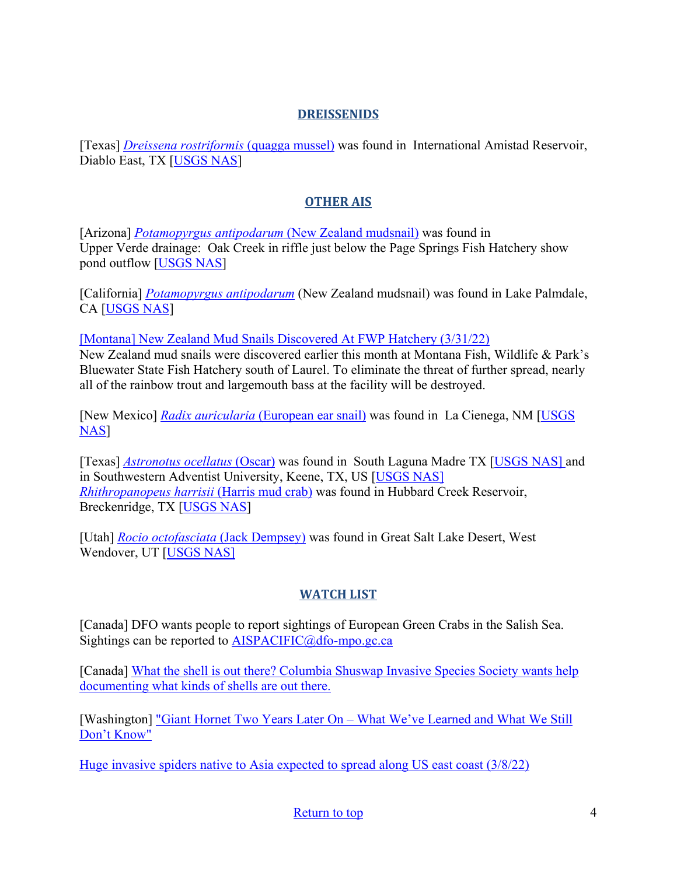## **DREISSENIDS**

[Texas] *[Dreissena rostriformis](https://nas.er.usgs.gov/queries/SpResults.aspx?SpeciesID=95)* (quagga mussel) was found in International Amistad Reservoir, Diablo East, TX [\[USGS NAS\]](https://nas.er.usgs.gov/queries/SpecimenViewer.aspx?SpecimenID=1692079)

## **OTHER AIS**

[Arizona] *[Potamopyrgus antipodarum](https://nas.er.usgs.gov/queries/SpResults.aspx?SpeciesID=1008)* (New Zealand mudsnail) was found in Upper Verde drainage: Oak Creek in riffle just below the Page Springs Fish Hatchery show pond outflow [\[USGS NAS\]](https://nas.er.usgs.gov/queries/specimenviewer.aspx?SpecimenID=1691941)

[California] *[Potamopyrgus antipodarum](https://nas.er.usgs.gov/queries/SpResults.aspx?SpeciesID=1008)* (New Zealand mudsnail) was found in Lake Palmdale, CA [\[USGS NAS\]](https://nas.er.usgs.gov/queries/specimenviewer.aspx?SpecimenID=1692011)

[\[Montana\] New Zealand Mud Snails Discovered At FWP Hatchery \(3/31/22\)](https://fwp.mt.gov/homepage/news/2022/mar/0331-new-zealand-mud-snails-discovered-at-fwp-hatchery)

New Zealand mud snails were discovered earlier this month at Montana Fish, Wildlife & Park's Bluewater State Fish Hatchery south of Laurel. To eliminate the threat of further spread, nearly all of the rainbow trout and largemouth bass at the facility will be destroyed.

[New Mexico] *Radix auricularia* [\(European ear snail\)](https://nas.er.usgs.gov/queries/SpResults.aspx?SpeciesID=1012) was found in La Cienega, NM [\[USGS](https://nas.er.usgs.gov/queries/specimenviewer.aspx?SpecimenID=1675196)  [NAS\]](https://nas.er.usgs.gov/queries/specimenviewer.aspx?SpecimenID=1675196)

[Texas] *[Astronotus ocellatus](https://nas.er.usgs.gov/queries/SpResults.aspx?SpeciesID=436)* (Oscar) was found in South Laguna Madre TX [\[USGS NAS\]](https://nas.er.usgs.gov/queries/specimenviewer.aspx?SpecimenID=1677218) and in Southwestern Adventist University, Keene, TX, US [\[USGS NAS\]](https://nas.er.usgs.gov/queries/specimenviewer.aspx?SpecimenID=1677044) *[Rhithropanopeus harrisii](https://nas.er.usgs.gov/queries/SpResults.aspx?SpeciesID=197)* (Harris mud crab) was found in Hubbard Creek Reservoir, Breckenridge, TX [\[USGS NAS\]](https://nas.er.usgs.gov/queries/specimenviewer.aspx?SpecimenID=1674525)

[Utah] *[Rocio octofasciata](https://nas.er.usgs.gov/queries/SpResults.aspx?SpeciesID=448)* (Jack Dempsey) was found in Great Salt Lake Desert, West Wendover, UT [\[USGS NAS\]](https://nas.er.usgs.gov/queries/specimenviewer.aspx?SpecimenID=1679880)

## **WATCH LIST**

[Canada] DFO wants people to report sightings of European Green Crabs in the Salish Sea. Sightings can be reported to [AISPACIFIC@dfo-mpo.gc.ca](mailto:AISPACIFIC@dfo-mpo.gc.ca)

[Canada] [What the shell is out there? Columbia Shuswap Invasive Species Society wants help](https://www.castanet.net/news/Salmon-Arm/344047/Columbia-Shuswap-Invasive-Species-Society-wants-help-documenting-what-kinds-of-shells-are-out-there)  [documenting what kinds of shells are out there.](https://www.castanet.net/news/Salmon-Arm/344047/Columbia-Shuswap-Invasive-Species-Society-wants-help-documenting-what-kinds-of-shells-are-out-there) 

[Washington] "Giant Hornet Two Years Later On – What We've Learned and What We Still [Don't Know"](https://www.youtube.com/watch?v=EscUpuhr3oo&feature=youtu.be)

[Huge invasive spiders native to Asia expected to spread along US east coast \(3/8/22\)](https://www.theguardian.com/us-news/2022/mar/08/invasive-joro-spider-us-east-coast)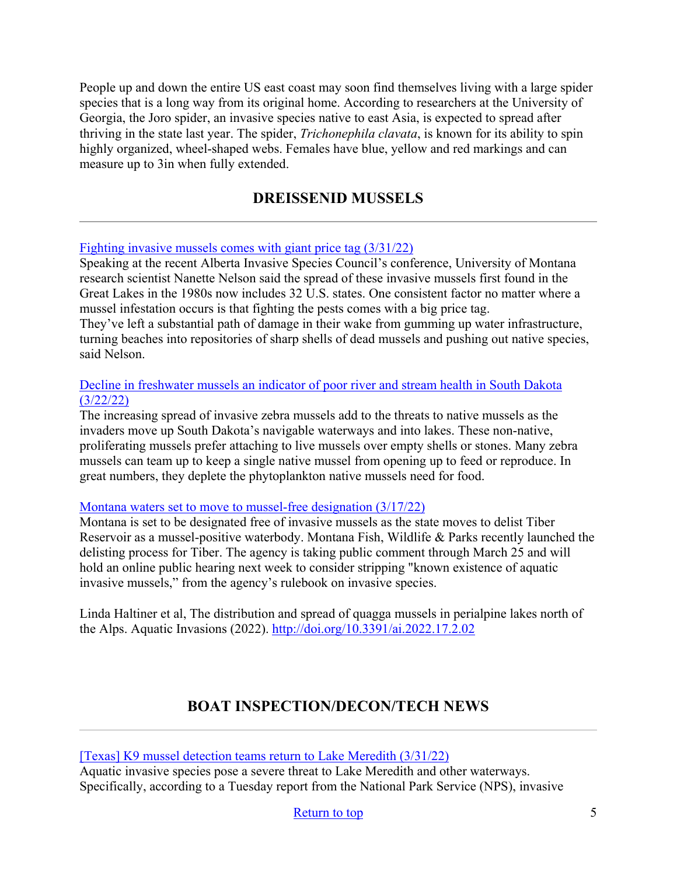People up and down the entire US east coast may soon find themselves living with a large spider species that is a long way from its original home. According to researchers at the University of Georgia, the Joro spider, an invasive species native to east Asia, is expected to spread after thriving in the state last year. The spider, *Trichonephila clavata*, is known for its ability to spin highly organized, wheel-shaped webs. Females have blue, yellow and red markings and can measure up to 3in when fully extended.

## **DREISSENID MUSSELS**

#### <span id="page-4-0"></span>[Fighting invasive mussels comes with giant price tag \(3/31/22\)](https://www.producer.com/news/fighting-invasive-mussels-comes-with-giant-price-tag/)

Speaking at the recent Alberta Invasive Species Council's conference, University of Montana research scientist Nanette Nelson said the spread of these invasive mussels first found in the Great Lakes in the 1980s now includes 32 U.S. states. One consistent factor no matter where a mussel infestation occurs is that fighting the pests comes with a big price tag.

They've left a substantial path of damage in their wake from gumming up water infrastructure, turning beaches into repositories of sharp shells of dead mussels and pushing out native species, said Nelson.

#### [Decline in freshwater mussels an indicator of poor river and stream health in South Dakota](https://www.sdnewswatch.org/stories/decline-in-freshwater-mussels-an-indicator-of-poor-river-and-stream-health-in-south-dakota/)  [\(3/22/22\)](https://www.sdnewswatch.org/stories/decline-in-freshwater-mussels-an-indicator-of-poor-river-and-stream-health-in-south-dakota/)

The increasing spread of invasive zebra mussels add to the threats to native mussels as the invaders move up South Dakota's navigable waterways and into lakes. These non-native, proliferating mussels prefer attaching to live mussels over empty shells or stones. Many zebra mussels can team up to keep a single native mussel from opening up to feed or reproduce. In great numbers, they deplete the phytoplankton native mussels need for food.

#### [Montana waters set to move to mussel-free designation \(3/17/22\)](https://helenair.com/news/state-and-regional/govt-and-politics/montana-waters-set-to-move-to-mussel-free-designation/article_7a778f9f-5a79-58cc-99be-75f323839e2e.html)

Montana is set to be designated free of invasive mussels as the state moves to delist Tiber Reservoir as a mussel-positive waterbody. Montana Fish, Wildlife & Parks recently launched the delisting process for Tiber. The agency is taking public comment through March 25 and will hold an online public hearing next week to consider stripping "known existence of aquatic invasive mussels," from the agency's rulebook on invasive species.

Linda Haltiner et al, The distribution and spread of quagga mussels in perialpine lakes north of the Alps. Aquatic Invasions (2022).<http://doi.org/10.3391/ai.2022.17.2.02>

## **BOAT INSPECTION/DECON/TECH NEWS**

#### <span id="page-4-1"></span>[\[Texas\] K9 mussel detection teams return to Lake Meredith \(3/31/22\)](https://www.myhighplains.com/news/local-news/k9-mussel-detection-teams-return-to-lake-meredith/)

Aquatic invasive species pose a severe threat to Lake Meredith and other waterways. Specifically, according to a Tuesday report from the National Park Service (NPS), invasive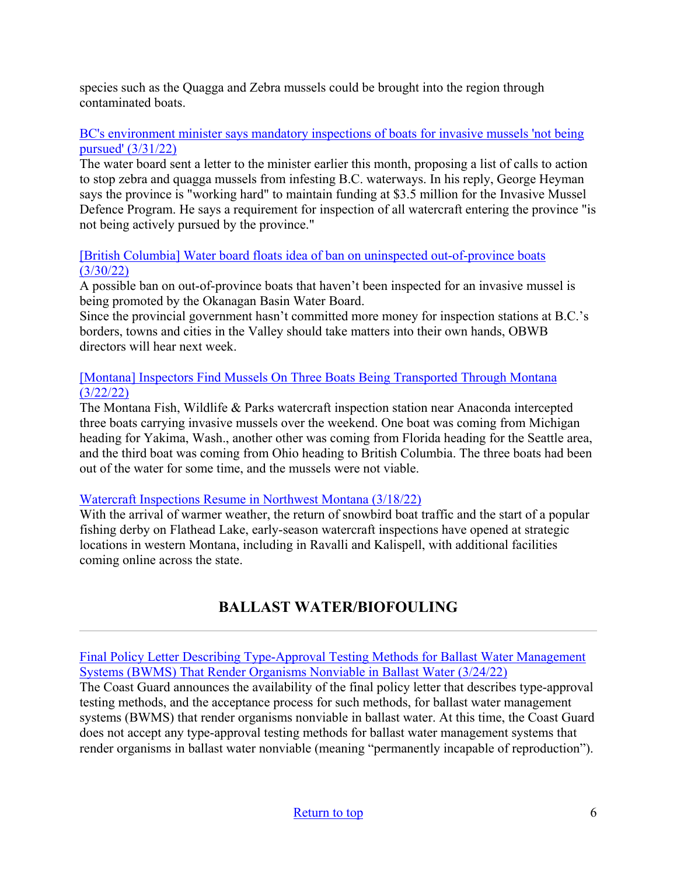species such as the Quagga and Zebra mussels could be brought into the region through contaminated boats.

## [BC's environment minister says mandatory inspections of boats for invasive mussels 'not being](https://www.castanet.net/news/Vernon/364509/BC-s-environment-minister-says-mandatory-inspections-of-boats-for-invasive-mussels-not-being-pursued)  [pursued' \(3/31/22\)](https://www.castanet.net/news/Vernon/364509/BC-s-environment-minister-says-mandatory-inspections-of-boats-for-invasive-mussels-not-being-pursued)

The water board sent a letter to the minister earlier this month, proposing a list of calls to action to stop zebra and quagga mussels from infesting B.C. waterways. In his reply, George Heyman says the province is "working hard" to maintain funding at \$3.5 million for the Invasive Mussel Defence Program. He says a requirement for inspection of all watercraft entering the province "is not being actively pursued by the province."

## [\[British Columbia\] Water board floats idea of ban on uninspected out-of-province boats](https://www.kelownadailycourier.ca/news/article_3562ca96-b06d-11ec-a4d3-ef3c3caab874.html)  [\(3/30/22\)](https://www.kelownadailycourier.ca/news/article_3562ca96-b06d-11ec-a4d3-ef3c3caab874.html)

A possible ban on out-of-province boats that haven't been inspected for an invasive mussel is being promoted by the Okanagan Basin Water Board.

Since the provincial government hasn't committed more money for inspection stations at B.C.'s borders, towns and cities in the Valley should take matters into their own hands, OBWB directors will hear next week.

## [\[Montana\] Inspectors Find Mussels On Three Boats Being Transported Through Montana](https://fwp.mt.gov/homepage/news/2022/mar/0322-inspectors-find-mussels-on-three-boats-being-transported-through-montana)  [\(3/22/22\)](https://fwp.mt.gov/homepage/news/2022/mar/0322-inspectors-find-mussels-on-three-boats-being-transported-through-montana)

The Montana Fish, Wildlife & Parks watercraft inspection station near Anaconda intercepted three boats carrying invasive mussels over the weekend. One boat was coming from Michigan heading for Yakima, Wash., another other was coming from Florida heading for the Seattle area, and the third boat was coming from Ohio heading to British Columbia. The three boats had been out of the water for some time, and the mussels were not viable.

### [Watercraft Inspections Resume in Northwest Montana \(3/18/22\)](https://flatheadbeacon.com/2022/03/18/watercraft-inspections-resume-in-northwest-montana-2/)

With the arrival of warmer weather, the return of snowbird boat traffic and the start of a popular fishing derby on Flathead Lake, early-season watercraft inspections have opened at strategic locations in western Montana, including in Ravalli and Kalispell, with additional facilities coming online across the state.

# **BALLAST WATER/BIOFOULING**

<span id="page-5-0"></span>[Final Policy Letter Describing Type-Approval Testing Methods for Ballast Water Management](https://www.federalregister.gov/documents/2022/03/24/2022-06201/final-policy-letter-describing-type-approval-testing-methods-for-ballast-water-management-systems)  [Systems \(BWMS\) That Render Organisms Nonviable in Ballast Water \(3/24/22\)](https://www.federalregister.gov/documents/2022/03/24/2022-06201/final-policy-letter-describing-type-approval-testing-methods-for-ballast-water-management-systems)

The Coast Guard announces the availability of the final policy letter that describes type-approval testing methods, and the acceptance process for such methods, for ballast water management systems (BWMS) that render organisms nonviable in ballast water. At this time, the Coast Guard does not accept any type-approval testing methods for ballast water management systems that render organisms in ballast water nonviable (meaning "permanently incapable of reproduction").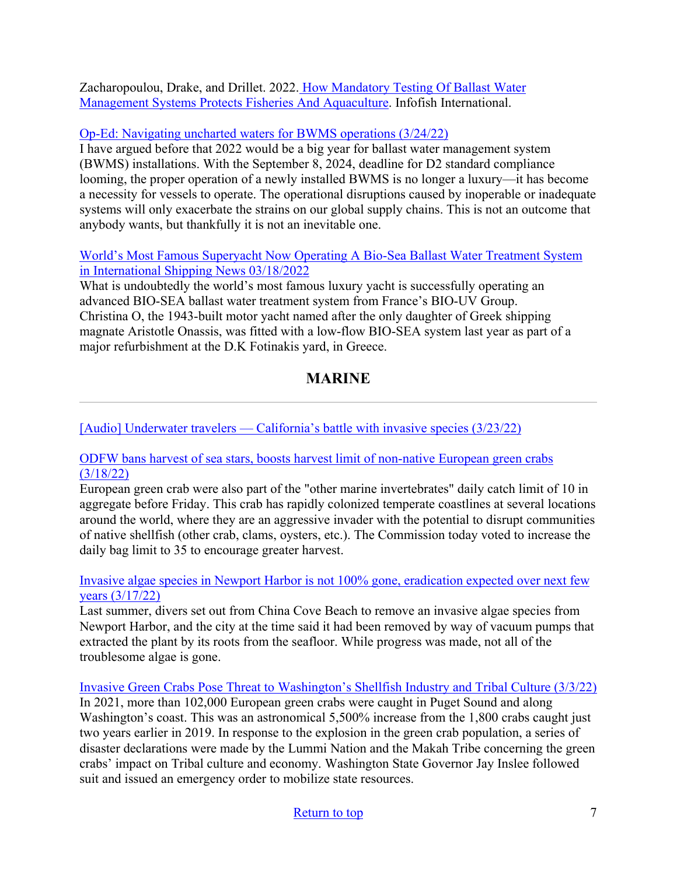Zacharopoulou, Drake, and Drillet. 2022. [How Mandatory Testing Of Ballast Water](https://www.westernais.org/_files/ugd/bb76e5_5a5e381cc30d4316bd4be04564d98417.pdf)  [Management Systems Protects Fisheries And Aquaculture.](https://www.westernais.org/_files/ugd/bb76e5_5a5e381cc30d4316bd4be04564d98417.pdf) Infofish International.

## [Op-Ed: Navigating uncharted waters for BWMS operations \(3/24/22\)](https://www.marinelog.com/perspectives/op-eds/op-ed-navigating-uncharted-waters-for-bwms-operations/)

I have argued before that 2022 would be a big year for ballast water management system (BWMS) installations. With the September 8, 2024, deadline for D2 standard compliance looming, the proper operation of a newly installed BWMS is no longer a luxury—it has become a necessity for vessels to operate. The operational disruptions caused by inoperable or inadequate systems will only exacerbate the strains on our global supply chains. This is not an outcome that anybody wants, but thankfully it is not an inevitable one.

### [World's Most Famous Superyacht Now Operating A Bio-Sea Ballast Water Treatment System](https://www.hellenicshippingnews.com/worlds-most-famous-superyacht-now-operating-a-bio-sea-ballast-water-treatment-system/) [in International Shipping News 03/18/2022](https://www.hellenicshippingnews.com/worlds-most-famous-superyacht-now-operating-a-bio-sea-ballast-water-treatment-system/)

What is undoubtedly the world's most famous luxury yacht is successfully operating an advanced BIO-SEA ballast water treatment system from France's BIO-UV Group. Christina O, the 1943-built motor yacht named after the only daughter of Greek shipping magnate Aristotle Onassis, was fitted with a low-flow BIO-SEA system last year as part of a major refurbishment at the D.K Fotinakis yard, in Greece.

# **MARINE**

<span id="page-6-0"></span>[\[Audio\] Underwater travelers — California's battle with invasive species \(3/23/22\)](https://www.kalw.org/kalw-news/2022-03-23/underwater-travelers-californias-battle-with-invasive-species)

## [ODFW bans harvest of sea stars, boosts harvest limit of non-native European green crabs](https://ktvz.com/news/wildlife/2022/03/18/odfw-bans-harvest-of-sea-stars-boosts-harvest-limit-of-non-native-european-green-crabs/)  [\(3/18/22\)](https://ktvz.com/news/wildlife/2022/03/18/odfw-bans-harvest-of-sea-stars-boosts-harvest-limit-of-non-native-european-green-crabs/)

European green crab were also part of the "other marine invertebrates" daily catch limit of 10 in aggregate before Friday. This crab has rapidly colonized temperate coastlines at several locations around the world, where they are an aggressive invader with the potential to disrupt communities of native shellfish (other crab, clams, oysters, etc.). The Commission today voted to increase the daily bag limit to 35 to encourage greater harvest.

### [Invasive algae species in Newport Harbor is not 100% gone, eradication expected over next few](https://www.latimes.com/socal/daily-pilot/news/story/2022-03-17/invasive-algae-species-in-newport-harbor-is-not-100-gone-eradication-expected-over-next-few-years)  [years \(3/17/22\)](https://www.latimes.com/socal/daily-pilot/news/story/2022-03-17/invasive-algae-species-in-newport-harbor-is-not-100-gone-eradication-expected-over-next-few-years)

Last summer, divers set out from China Cove Beach to remove an invasive algae species from Newport Harbor, and the city at the time said it had been removed by way of vacuum pumps that extracted the plant by its roots from the seafloor. While progress was made, not all of the troublesome algae is gone.

[Invasive Green Crabs Pose Threat to Washington's Shellfish Industry and Tribal Culture \(3/3/22\)](https://www.usgs.gov/news/science-snippet/invasive-green-crabs-pose-threat-washingtons-shellfish-industry-and-tribal) In 2021, more than 102,000 European green crabs were caught in Puget Sound and along Washington's coast. This was an astronomical 5,500% increase from the 1,800 crabs caught just two years earlier in 2019. In response to the explosion in the green crab population, a series of disaster declarations were made by the Lummi Nation and the Makah Tribe concerning the green crabs' impact on Tribal culture and economy. Washington State Governor Jay Inslee followed suit and issued an emergency order to mobilize state resources.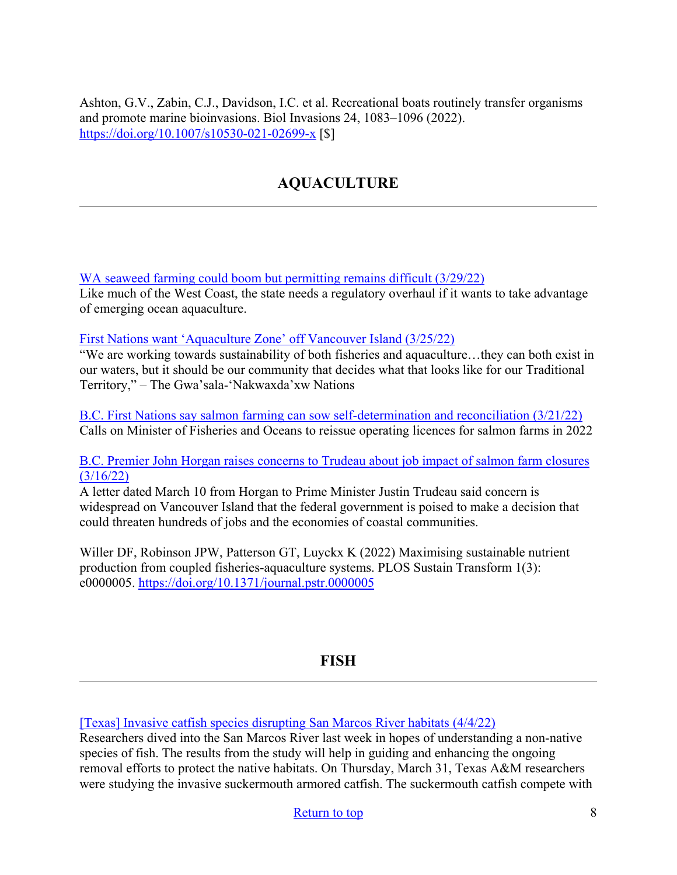<span id="page-7-0"></span>Ashton, G.V., Zabin, C.J., Davidson, I.C. et al. Recreational boats routinely transfer organisms and promote marine bioinvasions. Biol Invasions 24, 1083–1096 (2022). <https://doi.org/10.1007/s10530-021-02699-x> [\$]

# **AQUACULTURE**

[WA seaweed farming could boom but permitting remains difficult \(3/29/22\)](https://crosscut.com/environment/2022/03/wa-seaweed-farming-could-boom-permitting-remains-difficult)

Like much of the West Coast, the state needs a regulatory overhaul if it wants to take advantage of emerging ocean aquaculture.

[First Nations want 'Aquaculture Zone' off Vancouver Island \(3/25/22\)](https://seawestnews.com/first-nations-wants-aquaculture-zone-off-vancouver-island/)

"We are working towards sustainability of both fisheries and aquaculture…they can both exist in our waters, but it should be our community that decides what that looks like for our Traditional Territory," – The Gwa'sala-'Nakwaxda'xw Nations

[B.C. First Nations say salmon farming can sow self-determination and reconciliation \(3/21/22\)](https://www.thenorthernview.com/news/b-c-first-nations-say-salmon-farming-can-sow-self-determination-and-reconciliation/) Calls on Minister of Fisheries and Oceans to reissue operating licences for salmon farms in 2022

[B.C. Premier John Horgan raises concerns to Trudeau about job impact of salmon farm closures](https://www.theglobeandmail.com/canada/article-bc-premier-raises-concerns-to-trudeau-about-job-impact-of-salmon-farm/)  [\(3/16/22\)](https://www.theglobeandmail.com/canada/article-bc-premier-raises-concerns-to-trudeau-about-job-impact-of-salmon-farm/) 

A letter dated March 10 from Horgan to Prime Minister Justin Trudeau said concern is widespread on Vancouver Island that the federal government is poised to make a decision that could threaten hundreds of jobs and the economies of coastal communities.

Willer DF, Robinson JPW, Patterson GT, Luyckx K (2022) Maximising sustainable nutrient production from coupled fisheries-aquaculture systems. PLOS Sustain Transform 1(3): e0000005.<https://doi.org/10.1371/journal.pstr.0000005>

## **FISH**

<span id="page-7-1"></span>[\[Texas\] Invasive catfish species disrupting San Marcos River habitats \(4/4/22\)](https://www.mysanantonio.com/lifestyle/outdoors/article/San-Marcos-River-invasive-catfish-17056066.php)

Researchers dived into the San Marcos River last week in hopes of understanding a non-native species of fish. The results from the study will help in guiding and enhancing the ongoing removal efforts to protect the native habitats. On Thursday, March 31, Texas A&M researchers were studying the invasive suckermouth armored catfish. The suckermouth catfish compete with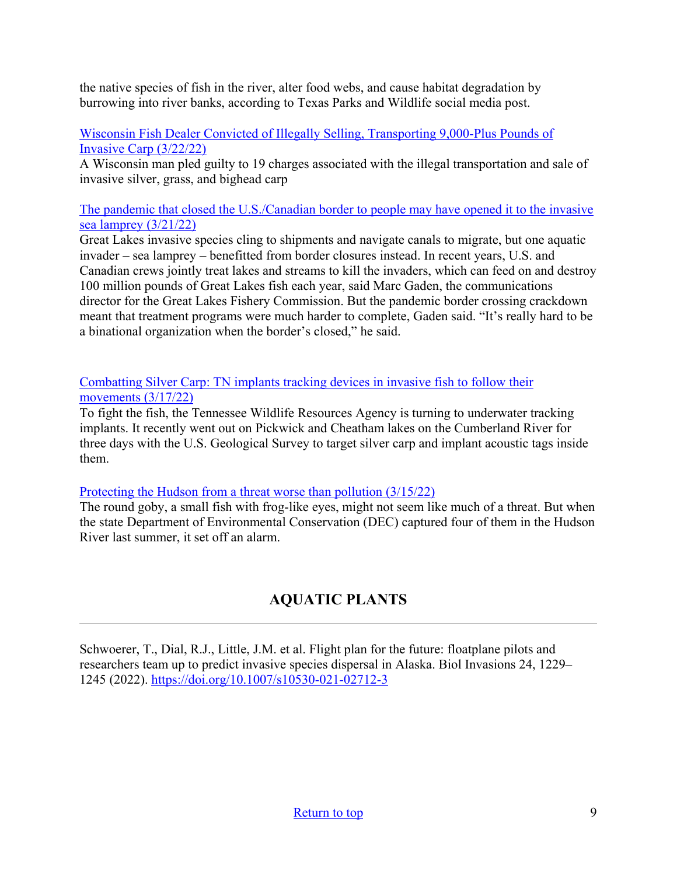the native species of fish in the river, alter food webs, and cause habitat degradation by burrowing into river banks, according to Texas Parks and Wildlife social media post.

[Wisconsin Fish Dealer Convicted of Illegally Selling, Transporting 9,000-Plus Pounds of](https://www.outdoorlife.com/conservation/fish-dealer-convicted-selling-invasive-carp/)  [Invasive Carp \(3/22/22\)](https://www.outdoorlife.com/conservation/fish-dealer-convicted-selling-invasive-carp/) 

A Wisconsin man pled guilty to 19 charges associated with the illegal transportation and sale of invasive silver, grass, and bighead carp

[The pandemic that closed the U.S./Canadian border to people may have opened it to the invasive](http://greatlakesecho.org/2022/03/21/the-pandemic-that-closed-the-u-s-canadian-border-to-people-may-have-opened-it-to-the-invasive-sea-lamprey/)  [sea lamprey \(3/21/22\)](http://greatlakesecho.org/2022/03/21/the-pandemic-that-closed-the-u-s-canadian-border-to-people-may-have-opened-it-to-the-invasive-sea-lamprey/)

Great Lakes invasive species cling to shipments and navigate canals to migrate, but one aquatic invader – sea lamprey – benefitted from border closures instead. In recent years, U.S. and Canadian crews jointly treat lakes and streams to kill the invaders, which can feed on and destroy 100 million pounds of Great Lakes fish each year, said Marc Gaden, the communications director for the Great Lakes Fishery Commission. But the pandemic border crossing crackdown meant that treatment programs were much harder to complete, Gaden said. "It's really hard to be a binational organization when the border's closed," he said.

[Combatting Silver Carp: TN implants tracking devices in invasive fish to follow their](https://www.wbir.com/article/tech/science/environment/tn-implants-tracking-devices-in-invasive-fish-to-follow-their-movements/51-bbed4e4b-a7aa-47a5-8977-1de42a470188)  [movements \(3/17/22\)](https://www.wbir.com/article/tech/science/environment/tn-implants-tracking-devices-in-invasive-fish-to-follow-their-movements/51-bbed4e4b-a7aa-47a5-8977-1de42a470188)

To fight the fish, the Tennessee Wildlife Resources Agency is turning to underwater tracking implants. It recently went out on Pickwick and Cheatham lakes on the Cumberland River for three days with the U.S. Geological Survey to target silver carp and implant acoustic tags inside them.

### [Protecting the Hudson from a threat worse than pollution \(3/15/22\)](https://www.riverkeeper.org/blogs/ecology/protecting-the-hudson-from-a-threat-worse-than-pollution/)

The round goby, a small fish with frog-like eyes, might not seem like much of a threat. But when the state Department of Environmental Conservation (DEC) captured four of them in the Hudson River last summer, it set off an alarm.

# **AQUATIC PLANTS**

<span id="page-8-0"></span>Schwoerer, T., Dial, R.J., Little, J.M. et al. Flight plan for the future: floatplane pilots and researchers team up to predict invasive species dispersal in Alaska. Biol Invasions 24, 1229– 1245 (2022).<https://doi.org/10.1007/s10530-021-02712-3>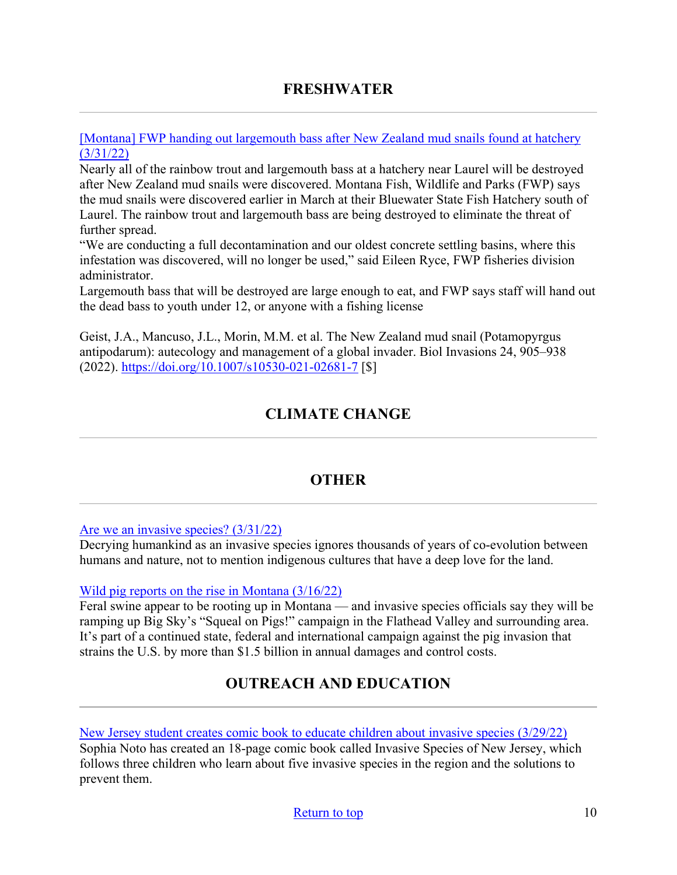## **FRESHWATER**

<span id="page-9-0"></span>[\[Montana\] FWP handing out largemouth bass after New Zealand mud snails found at hatchery](https://www.montanarightnow.com/news/fwp-handing-out-largemouth-bass-after-new-zealand-mud-snails-found-at-hatchery/article_ec0bbad1-0724-5cdd-b60d-9fe884682fcf.html)  [\(3/31/22\)](https://www.montanarightnow.com/news/fwp-handing-out-largemouth-bass-after-new-zealand-mud-snails-found-at-hatchery/article_ec0bbad1-0724-5cdd-b60d-9fe884682fcf.html)

Nearly all of the rainbow trout and largemouth bass at a hatchery near Laurel will be destroyed after New Zealand mud snails were discovered. Montana Fish, Wildlife and Parks (FWP) says the mud snails were discovered earlier in March at their Bluewater State Fish Hatchery south of Laurel. The rainbow trout and largemouth bass are being destroyed to eliminate the threat of further spread.

"We are conducting a full decontamination and our oldest concrete settling basins, where this infestation was discovered, will no longer be used," said Eileen Ryce, FWP fisheries division administrator.

Largemouth bass that will be destroyed are large enough to eat, and FWP says staff will hand out the dead bass to youth under 12, or anyone with a fishing license

<span id="page-9-1"></span>Geist, J.A., Mancuso, J.L., Morin, M.M. et al. The New Zealand mud snail (Potamopyrgus antipodarum): autecology and management of a global invader. Biol Invasions 24, 905–938 (2022).<https://doi.org/10.1007/s10530-021-02681-7> [\$]

## **CLIMATE CHANGE**

## <span id="page-9-3"></span>**OTHER**

<span id="page-9-2"></span>[Are we an invasive species? \(3/31/22\)](https://www.dailycardinal.com/article/2022/03/are-we-an-invasive-species)

Decrying humankind as an invasive species ignores thousands of years of co-evolution between humans and nature, not to mention indigenous cultures that have a deep love for the land.

#### [Wild pig reports on the rise in Montana \(3/16/22\)](https://vp-mi.com/news/2022/mar/16/wild-pig-reports-rise-montana/)

Feral swine appear to be rooting up in Montana — and invasive species officials say they will be ramping up Big Sky's "Squeal on Pigs!" campaign in the Flathead Valley and surrounding area. It's part of a continued state, federal and international campaign against the pig invasion that strains the U.S. by more than \$1.5 billion in annual damages and control costs.

## **OUTREACH AND EDUCATION**

New Jersey [student creates comic book to educate children about invasive species \(3/29/22\)](https://centraljersey.com/2022/03/29/local-student-creates-comic-book-to-educate-children-about-invasive-species/) Sophia Noto has created an 18-page comic book called Invasive Species of New Jersey, which follows three children who learn about five invasive species in the region and the solutions to prevent them.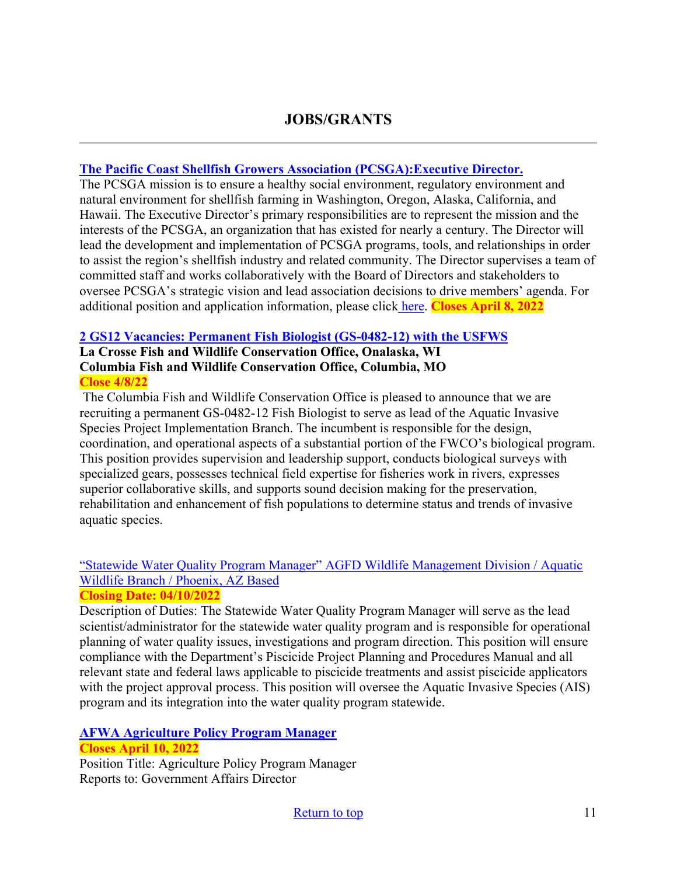## **JOBS/GRANTS**

#### **[The Pacific Coast Shellfish Growers Association \(PCSGA\):Executive Director.](https://pcsga.org/wprs/wp-content/uploads/2022/03/Executive-Director-Job-Announcement-March-2022.pdf)**

The PCSGA mission is to ensure a healthy social environment, regulatory environment and natural environment for shellfish farming in Washington, Oregon, Alaska, California, and Hawaii. The Executive Director's primary responsibilities are to represent the mission and the interests of the PCSGA, an organization that has existed for nearly a century. The Director will lead the development and implementation of PCSGA programs, tools, and relationships in order to assist the region's shellfish industry and related community. The Director supervises a team of committed staff and works collaboratively with the Board of Directors and stakeholders to oversee PCSGA's strategic vision and lead association decisions to drive members' agenda. For additional position and application information, please click [here.](https://pcsga.org/wprs/wp-content/uploads/2022/03/Executive-Director-Job-Announcement-March-2022.pdf) **Closes April 8, 2022**

#### **[2 GS12 Vacancies: Permanent Fish Biologist \(GS-0482-12\) with the USFWS](https://www.usajobs.gov/job/644847400)**

#### **La Crosse Fish and Wildlife Conservation Office, Onalaska, WI Columbia Fish and Wildlife Conservation Office, Columbia, MO Close 4/8/22**

The Columbia Fish and Wildlife Conservation Office is pleased to announce that we are recruiting a permanent GS-0482-12 Fish Biologist to serve as lead of the Aquatic Invasive Species Project Implementation Branch. The incumbent is responsible for the design, coordination, and operational aspects of a substantial portion of the FWCO's biological program. This position provides supervision and leadership support, conducts biological surveys with specialized gears, possesses technical field expertise for fisheries work in rivers, expresses superior collaborative skills, and supports sound decision making for the preservation, rehabilitation and enhancement of fish populations to determine status and trends of invasive aquatic species.

## ["Statewide Water Quality Program Manager" AGFD Wildlife Management Division / Aquatic](https://www.azstatejobs.gov/home)  [Wildlife Branch / Phoenix, AZ Based](https://www.azstatejobs.gov/home)

### **Closing Date: 04/10/2022**

Description of Duties: The Statewide Water Quality Program Manager will serve as the lead scientist/administrator for the statewide water quality program and is responsible for operational planning of water quality issues, investigations and program direction. This position will ensure compliance with the Department's Piscicide Project Planning and Procedures Manual and all relevant state and federal laws applicable to piscicide treatments and assist piscicide applicators with the project approval process. This position will oversee the Aquatic Invasive Species (AIS) program and its integration into the water quality program statewide.

#### **[AFWA Agriculture Policy Program Manager](https://careers.wildlife.org/jobs/view/agriculture-policy-program-manager/62032615/?utm_medium=email&utm_source=getresponse&utm_content=This%20Week%27s%20eWildlifer%20%26%20TWS%20Talks&utm_campaign=) Closes April 10, 2022**

Position Title: Agriculture Policy Program Manager Reports to: Government Affairs Director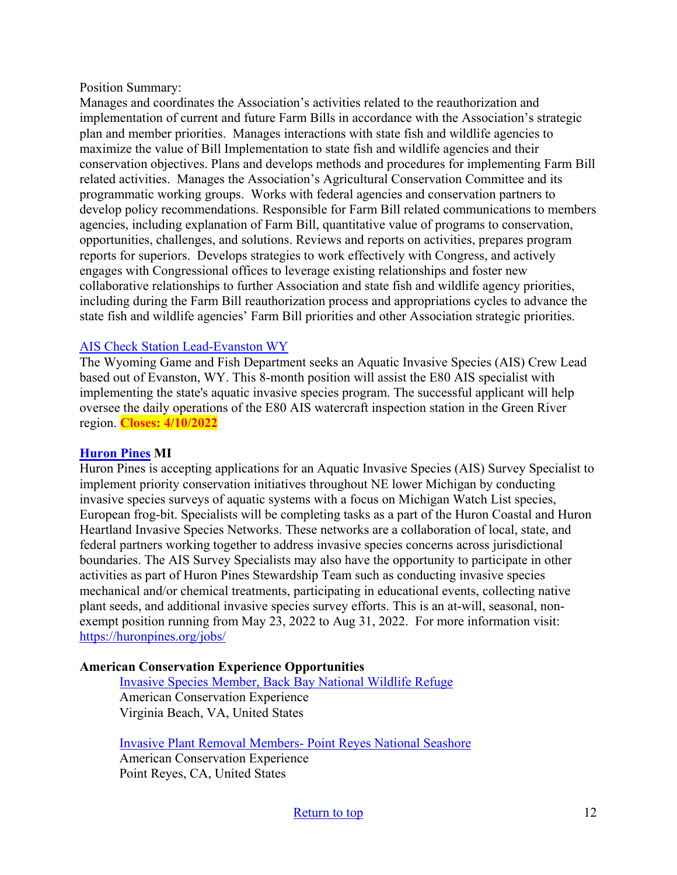#### Position Summary:

Manages and coordinates the Association's activities related to the reauthorization and implementation of current and future Farm Bills in accordance with the Association's strategic plan and member priorities. Manages interactions with state fish and wildlife agencies to maximize the value of Bill Implementation to state fish and wildlife agencies and their conservation objectives. Plans and develops methods and procedures for implementing Farm Bill related activities. Manages the Association's Agricultural Conservation Committee and its programmatic working groups. Works with federal agencies and conservation partners to develop policy recommendations. Responsible for Farm Bill related communications to members agencies, including explanation of Farm Bill, quantitative value of programs to conservation, opportunities, challenges, and solutions. Reviews and reports on activities, prepares program reports for superiors. Develops strategies to work effectively with Congress, and actively engages with Congressional offices to leverage existing relationships and foster new collaborative relationships to further Association and state fish and wildlife agency priorities, including during the Farm Bill reauthorization process and appropriations cycles to advance the state fish and wildlife agencies' Farm Bill priorities and other Association strategic priorities.

### [AIS Check Station Lead-Evanston WY](https://www.governmentjobs.com/careers/wyoming?keywords=ais&pagetype=jobOpportunitiesJobs&jobId=3478436&jobName=ataw99-2022-03115-ais-check-station-lead-evanston&tab=1)

The Wyoming Game and Fish Department seeks an Aquatic Invasive Species (AIS) Crew Lead based out of Evanston, WY. This 8-month position will assist the E80 AIS specialist with implementing the state's aquatic invasive species program. The successful applicant will help oversee the daily operations of the E80 AIS watercraft inspection station in the Green River region. **Closes: 4/10/2022**

### **[Huron Pines](https://huronpines.org/jobs/) MI**

Huron Pines is accepting applications for an Aquatic Invasive Species (AIS) Survey Specialist to implement priority conservation initiatives throughout NE lower Michigan by conducting invasive species surveys of aquatic systems with a focus on Michigan Watch List species, European frog-bit. Specialists will be completing tasks as a part of the Huron Coastal and Huron Heartland Invasive Species Networks. These networks are a collaboration of local, state, and federal partners working together to address invasive species concerns across jurisdictional boundaries. The AIS Survey Specialists may also have the opportunity to participate in other activities as part of Huron Pines Stewardship Team such as conducting invasive species mechanical and/or chemical treatments, participating in educational events, collecting native plant seeds, and additional invasive species survey efforts. This is an at-will, seasonal, nonexempt position running from May 23, 2022 to Aug 31, 2022. For more information visit: <https://huronpines.org/jobs/>

### **American Conservation Experience Opportunities**

[Invasive Species Member, Back Bay National Wildlife Refuge](https://careers.wildlife.org/jobs/view/invasive-species-member-back-bay-national-wildlife-refuge/62052972/?utm_term=2&utm_medium=email&utm_source=daily-alert&utm_campaign=job-alert-email-8764&utm_content=position-title) American Conservation Experience Virginia Beach, VA, United States

[Invasive Plant Removal Members- Point Reyes National Seashore](https://careers.wildlife.org/jobs/view/invasive-plant-removal-members-point-reyes-national-seashore/62053225/?utm_term=2&utm_medium=email&utm_source=daily-alert&utm_campaign=job-alert-email-8764&utm_content=position-title) American Conservation Experience Point Reyes, CA, United States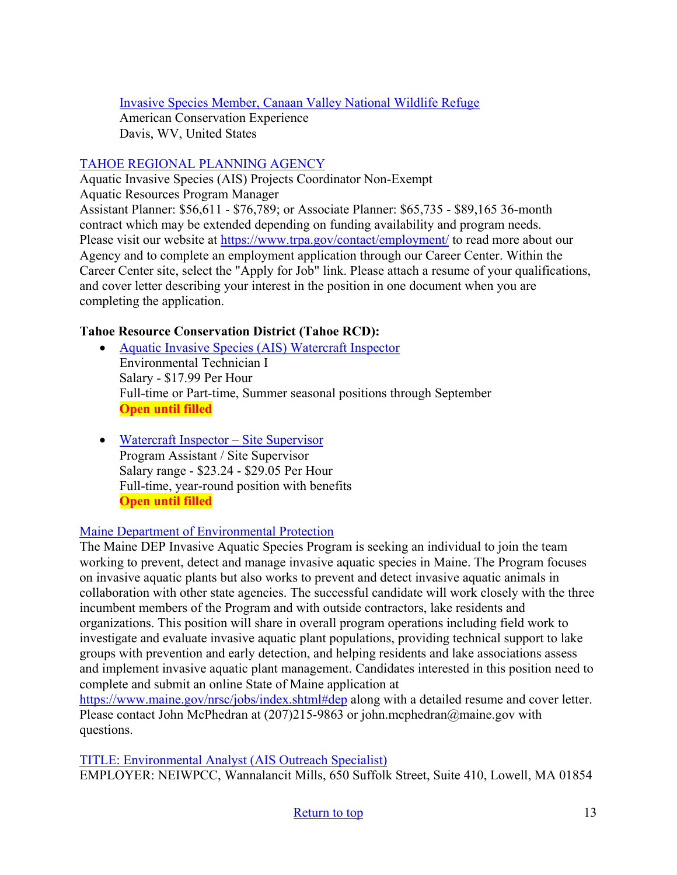[Invasive Species Member, Canaan Valley National Wildlife Refuge](https://careers.wildlife.org/jobs/view/invasive-species-member-canaan-valley-national-wildlife-refuge/62071763/?utm_term=2&utm_medium=email&utm_source=daily-alert&utm_campaign=job-alert-email-8764&utm_content=position-title) American Conservation Experience Davis, WV, United States

## [TAHOE REGIONAL PLANNING AGENCY](https://www.trpa.gov/wp-content/uploads/AIS-Projects-Coordinator-Job-Description.pdf)

Aquatic Invasive Species (AIS) Projects Coordinator Non-Exempt Aquatic Resources Program Manager Assistant Planner: \$56,611 - \$76,789; or Associate Planner: \$65,735 - \$89,165 36-month contract which may be extended depending on funding availability and program needs. Please visit our website at<https://www.trpa.gov/contact/employment/>to read more about our Agency and to complete an employment application through our Career Center. Within the Career Center site, select the "Apply for Job" link. Please attach a resume of your qualifications, and cover letter describing your interest in the position in one document when you are completing the application.

## **Tahoe Resource Conservation District (Tahoe RCD):**

- [Aquatic Invasive Species \(AIS\) Watercraft Inspector](https://tahoercd.org/wp-content/uploads/2022/02/Watercraft-Inspector_2022.pdf) Environmental Technician I Salary ‐ \$17.99 Per Hour Full-time or Part-time, Summer seasonal positions through September **Open until filled**
- [Watercraft Inspector Site Supervisor](https://tahoercd.org/wp-content/uploads/2022/02/AIS-Site-Supervisor_2022.pdf) Program Assistant / Site Supervisor Salary range ‐ \$23.24 - \$29.05 Per Hour Full-time, year-round position with benefits **Open until filled**

## [Maine Department of Environmental Protection](https://www.maine.gov/nrsc/jobs/index.shtml#dep)

The Maine DEP Invasive Aquatic Species Program is seeking an individual to join the team working to prevent, detect and manage invasive aquatic species in Maine. The Program focuses on invasive aquatic plants but also works to prevent and detect invasive aquatic animals in collaboration with other state agencies. The successful candidate will work closely with the three incumbent members of the Program and with outside contractors, lake residents and organizations. This position will share in overall program operations including field work to investigate and evaluate invasive aquatic plant populations, providing technical support to lake groups with prevention and early detection, and helping residents and lake associations assess and implement invasive aquatic plant management. Candidates interested in this position need to complete and submit an online State of Maine application at

<https://www.maine.gov/nrsc/jobs/index.shtml#dep>along with a detailed resume and cover letter. Please contact John McPhedran at (207)215-9863 or john.mcphedran@maine.gov with questions.

[TITLE: Environmental Analyst \(AIS Outreach Specialist\)](https://neiwpcc.org/wp-content/uploads/2022/03/EA-LCBP-AIS-Outreach.pdf?utm_medium=email&utm_source=govdelivery) EMPLOYER: NEIWPCC, Wannalancit Mills, 650 Suffolk Street, Suite 410, Lowell, MA 01854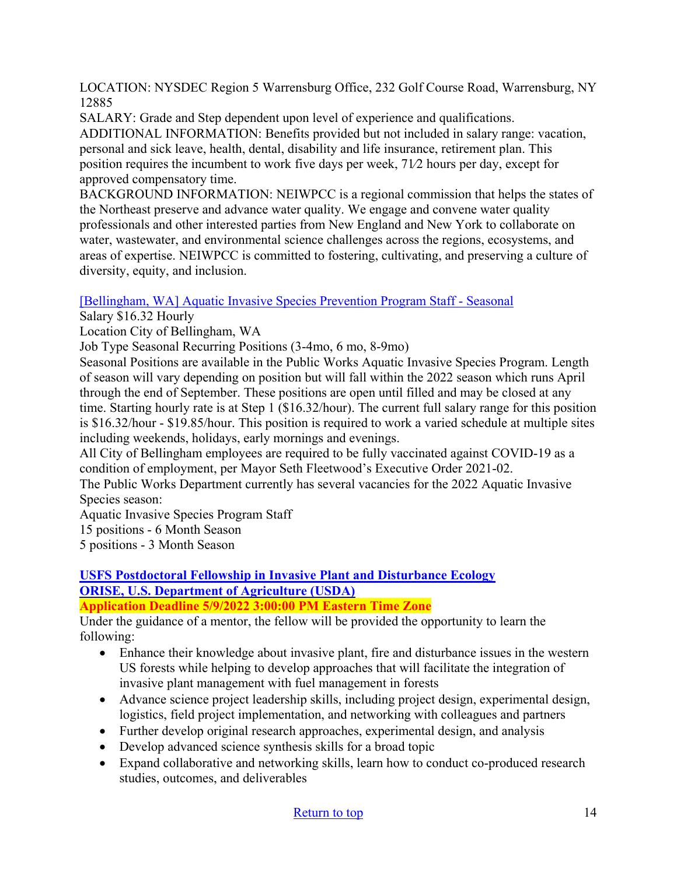LOCATION: NYSDEC Region 5 Warrensburg Office, 232 Golf Course Road, Warrensburg, NY 12885

SALARY: Grade and Step dependent upon level of experience and qualifications.

ADDITIONAL INFORMATION: Benefits provided but not included in salary range: vacation, personal and sick leave, health, dental, disability and life insurance, retirement plan. This position requires the incumbent to work five days per week, 71⁄2 hours per day, except for approved compensatory time.

BACKGROUND INFORMATION: NEIWPCC is a regional commission that helps the states of the Northeast preserve and advance water quality. We engage and convene water quality professionals and other interested parties from New England and New York to collaborate on water, wastewater, and environmental science challenges across the regions, ecosystems, and areas of expertise. NEIWPCC is committed to fostering, cultivating, and preserving a culture of diversity, equity, and inclusion.

[\[Bellingham, WA\] Aquatic Invasive Species Prevention Program Staff - Seasonal](https://www.governmentjobs.com/careers/cobwa/jobs/3392121/aquatic-invasive-species-prevention-program-staff-seasonal)

Salary \$16.32 Hourly

Location City of Bellingham, WA

Job Type Seasonal Recurring Positions (3-4mo, 6 mo, 8-9mo)

Seasonal Positions are available in the Public Works Aquatic Invasive Species Program. Length of season will vary depending on position but will fall within the 2022 season which runs April through the end of September. These positions are open until filled and may be closed at any time. Starting hourly rate is at Step 1 (\$16.32/hour). The current full salary range for this position is \$16.32/hour - \$19.85/hour. This position is required to work a varied schedule at multiple sites including weekends, holidays, early mornings and evenings.

All City of Bellingham employees are required to be fully vaccinated against COVID-19 as a condition of employment, per Mayor Seth Fleetwood's Executive Order 2021-02.

The Public Works Department currently has several vacancies for the 2022 Aquatic Invasive Species season:

Aquatic Invasive Species Program Staff

15 positions - 6 Month Season

5 positions - 3 Month Season

#### **[USFS Postdoctoral Fellowship in Invasive Plant and Disturbance Ecology](https://www.zintellect.com/Opportunity/Details/USDA-USFS-2022-0134?utm_medium=email&utm_source=govdelivery) [ORISE, U.S. Department of Agriculture \(USDA\)](https://www.zintellect.com/Opportunity/Details/USDA-USFS-2022-0134?utm_medium=email&utm_source=govdelivery) Application Deadline 5/9/2022 3:00:00 PM Eastern Time Zone**

Under the guidance of a mentor, the fellow will be provided the opportunity to learn the following:

- Enhance their knowledge about invasive plant, fire and disturbance issues in the western US forests while helping to develop approaches that will facilitate the integration of invasive plant management with fuel management in forests
- Advance science project leadership skills, including project design, experimental design, logistics, field project implementation, and networking with colleagues and partners
- Further develop original research approaches, experimental design, and analysis
- Develop advanced science synthesis skills for a broad topic
- Expand collaborative and networking skills, learn how to conduct co-produced research studies, outcomes, and deliverables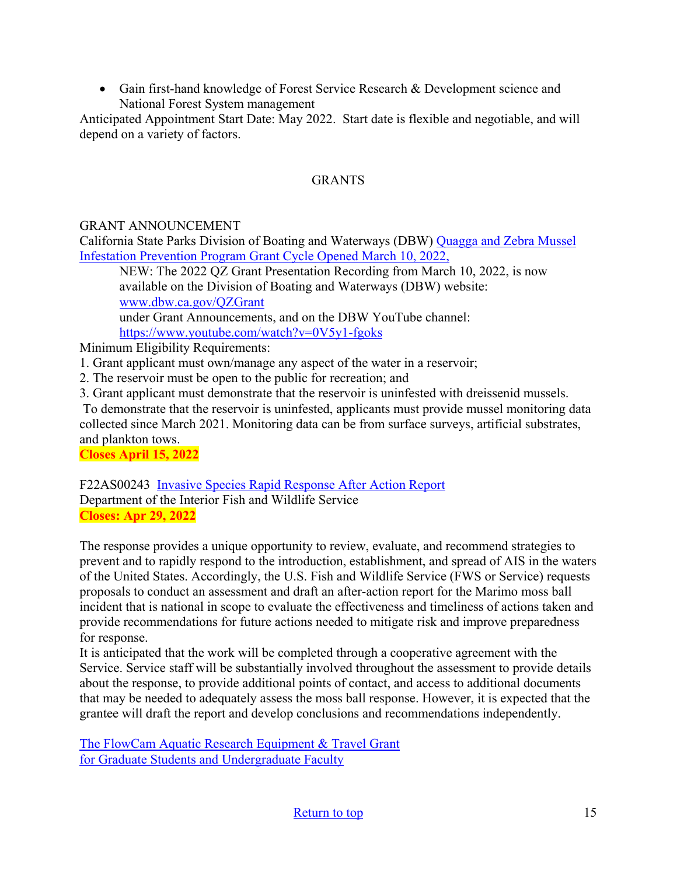• Gain first-hand knowledge of Forest Service Research & Development science and National Forest System management

Anticipated Appointment Start Date: May 2022. Start date is flexible and negotiable, and will depend on a variety of factors.

## **GRANTS**

## GRANT ANNOUNCEMENT

California State Parks Division of Boating and Waterways (DBW) [Quagga and Zebra Mussel](http://dbw.parks.ca.gov/?page_id=28822)  [Infestation Prevention Program Grant Cycle Opened March](http://dbw.parks.ca.gov/?page_id=28822) 10, 2022,

NEW: The 2022 QZ Grant Presentation Recording from March 10, 2022, is now available on the Division of Boating and Waterways (DBW) website: [www.dbw.ca.gov/QZGrant](http://www.dbw.ca.gov/QZGrant)

under Grant Announcements, and on the DBW YouTube channel: [https://www.youtube.com/watch?v=0V5y1](https://www.youtube.com/watch?v=0V5y1-fgoks)-fgoks

Minimum Eligibility Requirements:

1. Grant applicant must own/manage any aspect of the water in a reservoir;

- 2. The reservoir must be open to the public for recreation; and
- 3. Grant applicant must demonstrate that the reservoir is uninfested with dreissenid mussels.

To demonstrate that the reservoir is uninfested, applicants must provide mussel monitoring data collected since March 2021. Monitoring data can be from surface surveys, artificial substrates, and plankton tows.

**Closes April 15, 2022** 

F22AS00243 [Invasive Species Rapid Response After Action Report](https://www.grants.gov/web/grants/view-opportunity.html?oppId=338303) Department of the Interior Fish and Wildlife Service **Closes: Apr 29, 2022**

The response provides a unique opportunity to review, evaluate, and recommend strategies to prevent and to rapidly respond to the introduction, establishment, and spread of AIS in the waters of the United States. Accordingly, the U.S. Fish and Wildlife Service (FWS or Service) requests proposals to conduct an assessment and draft an after-action report for the Marimo moss ball incident that is national in scope to evaluate the effectiveness and timeliness of actions taken and provide recommendations for future actions needed to mitigate risk and improve preparedness for response.

It is anticipated that the work will be completed through a cooperative agreement with the Service. Service staff will be substantially involved throughout the assessment to provide details about the response, to provide additional points of contact, and access to additional documents that may be needed to adequately assess the moss ball response. However, it is expected that the grantee will draft the report and develop conclusions and recommendations independently.

[The FlowCam Aquatic Research Equipment & Travel Grant](https://info.fluidimaging.com/flowcam-student-grant-2022?utm_campaign=FlowCam%20Student%20Grant%20Program%20-%202022&utm_medium=email&_hsmi=201999501&_hsenc=p2ANqtz-8ocExbgopRtkyNWxi0ljPjBorrFvK_wIwUD_KR7epglcNO-AO_DQ4NmoDkrNWY7LVtQd1Pk4pv8bA1I0u-TD5hWn2IAw&utm_content=201914302&utm_source=hs_email) [for Graduate Students and Undergraduate Faculty](https://info.fluidimaging.com/flowcam-student-grant-2022?utm_campaign=FlowCam%20Student%20Grant%20Program%20-%202022&utm_medium=email&_hsmi=201999501&_hsenc=p2ANqtz-8ocExbgopRtkyNWxi0ljPjBorrFvK_wIwUD_KR7epglcNO-AO_DQ4NmoDkrNWY7LVtQd1Pk4pv8bA1I0u-TD5hWn2IAw&utm_content=201914302&utm_source=hs_email)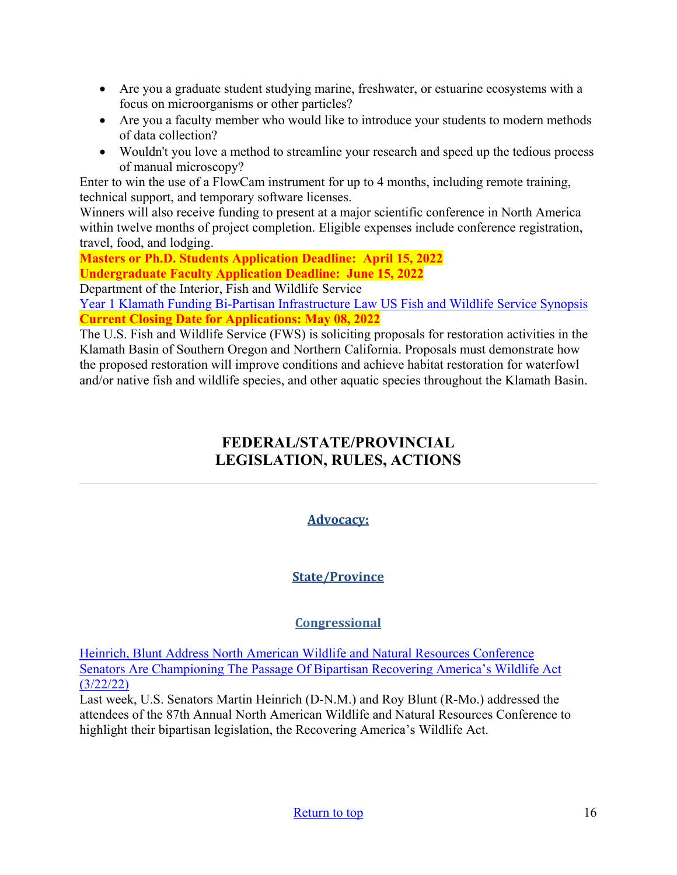- Are you a graduate student studying marine, freshwater, or estuarine ecosystems with a focus on microorganisms or other particles?
- Are you a faculty member who would like to introduce your students to modern methods of data collection?
- Wouldn't you love a method to streamline your research and speed up the tedious process of manual microscopy?

Enter to win the use of a FlowCam instrument for up to 4 months, including remote training, technical support, and temporary software licenses.

Winners will also receive funding to present at a major scientific conference in North America within twelve months of project completion. Eligible expenses include conference registration, travel, food, and lodging.

**Masters or Ph.D. Students Application Deadline: April 15, 2022 Undergraduate Faculty Application Deadline: June 15, 2022** 

Department of the Interior, Fish and Wildlife Service

[Year 1 Klamath Funding Bi-Partisan Infrastructure Law US Fish and Wildlife Service Synopsis](https://www.grants.gov/web/grants/view-opportunity.html?oppId=338570)  **Current Closing Date for Applications: May 08, 2022** 

<span id="page-15-0"></span>The U.S. Fish and Wildlife Service (FWS) is soliciting proposals for restoration activities in the Klamath Basin of Southern Oregon and Northern California. Proposals must demonstrate how the proposed restoration will improve conditions and achieve habitat restoration for waterfowl and/or native fish and wildlife species, and other aquatic species throughout the Klamath Basin.

# **FEDERAL/STATE/PROVINCIAL LEGISLATION, RULES, ACTIONS**

## **Advocacy:**

## **State/Province**

## **Congressional**

[Heinrich, Blunt Address North American Wildlife and Natural Resources Conference](https://www.heinrich.senate.gov/press-releases/heinrich-blunt-address-north-american-wildlife-and-natural-resources-conference)  [Senators Are Championing The Passage Of Bipartisan Recovering America's Wildlife Act](https://www.heinrich.senate.gov/press-releases/heinrich-blunt-address-north-american-wildlife-and-natural-resources-conference)  [\(3/22/22\)](https://www.heinrich.senate.gov/press-releases/heinrich-blunt-address-north-american-wildlife-and-natural-resources-conference) 

Last week, U.S. Senators Martin Heinrich (D-N.M.) and Roy Blunt (R-Mo.) addressed the attendees of the 87th Annual North American Wildlife and Natural Resources Conference to highlight their bipartisan legislation, the Recovering America's Wildlife Act.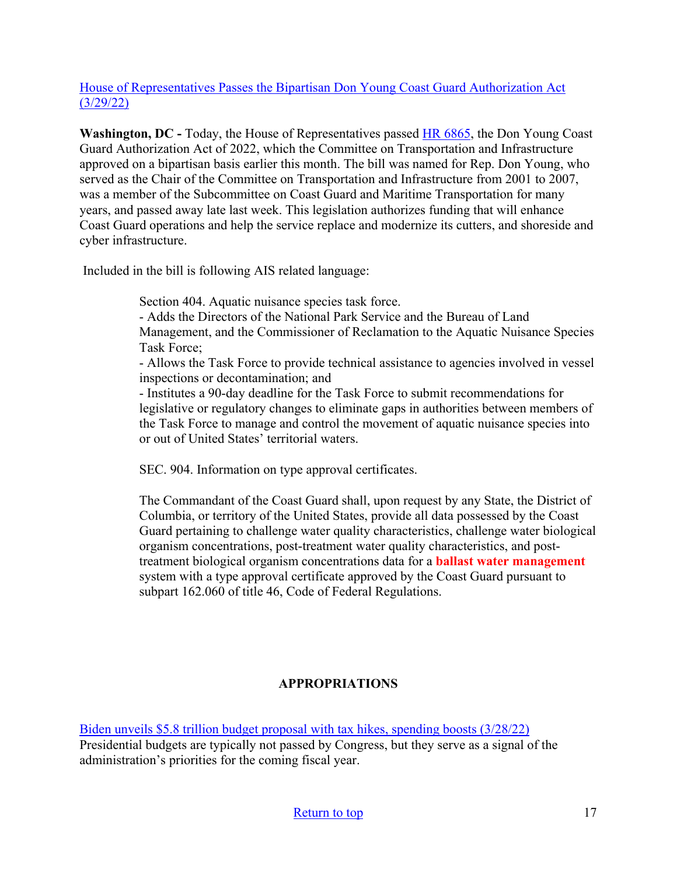### [House of Representatives Passes the Bipartisan Don Young Coast Guard Authorization Act](https://transportation.house.gov/news/press-releases/house-of-representatives-passes-the-bipartisan-don-young-coast-guard-authorization-act-)  [\(3/29/22\)](https://transportation.house.gov/news/press-releases/house-of-representatives-passes-the-bipartisan-don-young-coast-guard-authorization-act-)

**Washington, DC -** Today, the House of Representatives passed [HR 6865,](https://www.congress.gov/bill/117th-congress/house-bill/6865) the Don Young Coast Guard Authorization Act of 2022, which the Committee on Transportation and Infrastructure approved on a bipartisan basis earlier this month. The bill was named for Rep. Don Young, who served as the Chair of the Committee on Transportation and Infrastructure from 2001 to 2007, was a member of the Subcommittee on Coast Guard and Maritime Transportation for many years, and passed away late last week. This legislation authorizes funding that will enhance Coast Guard operations and help the service replace and modernize its cutters, and shoreside and cyber infrastructure.

Included in the bill is following AIS related language:

Section 404. Aquatic nuisance species task force.

- Adds the Directors of the National Park Service and the Bureau of Land Management, and the Commissioner of Reclamation to the Aquatic Nuisance Species Task Force;

- Allows the Task Force to provide technical assistance to agencies involved in vessel inspections or decontamination; and

- Institutes a 90-day deadline for the Task Force to submit recommendations for legislative or regulatory changes to eliminate gaps in authorities between members of the Task Force to manage and control the movement of aquatic nuisance species into or out of United States' territorial waters.

SEC. 904. Information on type approval certificates.

The Commandant of the Coast Guard shall, upon request by any State, the District of Columbia, or territory of the United States, provide all data possessed by the Coast Guard pertaining to challenge water quality characteristics, challenge water biological organism concentrations, post-treatment water quality characteristics, and posttreatment biological organism concentrations data for a **ballast water management** system with a type approval certificate approved by the Coast Guard pursuant to subpart 162.060 of title 46, Code of Federal Regulations.

## **APPROPRIATIONS**

[Biden unveils \\$5.8 trillion budget proposal with tax hikes, spending boosts \(3/28/22\)](https://thehill.com/homenews/administration/600012-biden-unveils-2023-budget-proposal-with-tax-hikes-spending-boosts/) Presidential budgets are typically not passed by Congress, but they serve as a signal of the administration's priorities for the coming fiscal year.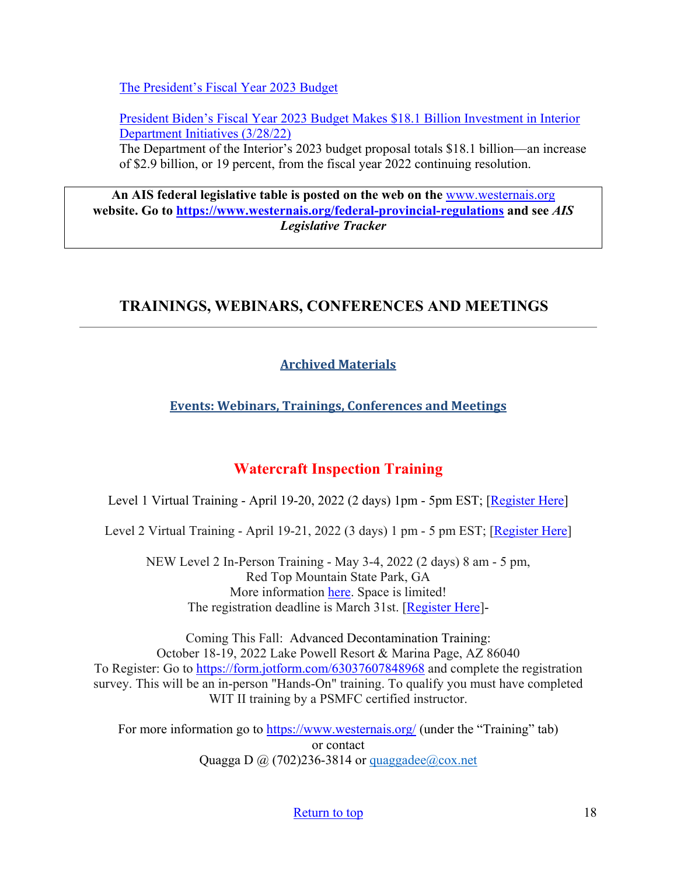[The President's Fiscal Year 2023 Budget](https://www.whitehouse.gov/wp-content/uploads/2022/03/budget_fy2023.pdf)

[President Biden's Fiscal Year 2023 Budget Makes \\$18.1 Billion Investment in Interior](https://www.doi.gov/pressreleases/president-bidens-fiscal-year-2023-budget-makes-181-billion-investment-interior)  [Department Initiatives \(3/28/22\)](https://www.doi.gov/pressreleases/president-bidens-fiscal-year-2023-budget-makes-181-billion-investment-interior) 

The Department of the Interior's 2023 budget proposal totals \$18.1 billion—an increase of \$2.9 billion, or 19 percent, from the fiscal year 2022 continuing resolution.

**An AIS federal legislative table is posted on the web on the** [www.westernais.org](http://www.westernais.org/) **website. Go to<https://www.westernais.org/federal-provincial-regulations> and see** *AIS Legislative Tracker*

## <span id="page-17-0"></span>**TRAININGS, WEBINARS, CONFERENCES AND MEETINGS**

## **Archived Materials**

**Events: Webinars, Trainings, Conferences and Meetings**

## **Watercraft Inspection Training**

Level 1 Virtual Training - April 19-20, 2022 (2 days) 1pm - 5pm EST; [\[Register Here\]](https://us02web.zoom.us/meeting/register/tZ0rcuivpzspG93_2FXTlyeKrkRBe0C-5VYu)

Level 2 Virtual Training - April 19-21, 2022 (3 days) 1 pm - 5 pm EST; [\[Register](https://us02web.zoom.us/meeting/register/tZ0rcuivpzspG93_2FXTlyeKrkRBe0C-5VYu) Here]

NEW Level 2 In-Person Training - May 3-4, 2022 (2 days) 8 am - 5 pm, Red Top Mountain State Park, GA More information [here.](https://www.westernais.org/_files/ugd/bb76e5_0fd9bd8db8324c0db9815f1d98399755.pdf) Space is limited! The registration deadline is March 31st. [\[Register](https://form.jotform.com/220475746059159) Here]-

Coming This Fall: Advanced Decontamination Training: October 18-19, 2022 Lake Powell Resort & Marina Page, AZ 86040 To Register: Go to<https://form.jotform.com/63037607848968>and complete the registration survey. This will be an in-person "Hands-On" training. To qualify you must have completed WIT II training by a PSMFC certified instructor.

For more information go to<https://www.westernais.org/> (under the "Training" tab) or contact Quagga D  $\omega$  (702)236-3814 or quaggadee $\omega$ cox.net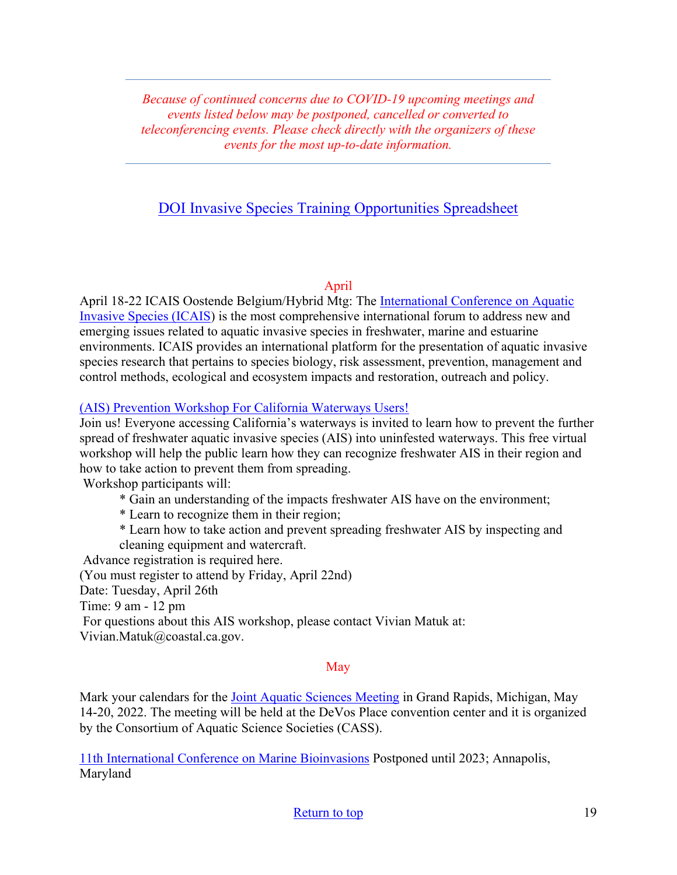*Because of continued concerns due to COVID-19 upcoming meetings and events listed below may be postponed, cancelled or converted to teleconferencing events. Please check directly with the organizers of these events for the most up-to-date information.* 

## [DOI Invasive Species Training Opportunities Spreadsheet](https://www.doi.gov/sites/doi.gov/files/doi-invasive-species-training-opportunities.pdf)

### April

April 18-22 ICAIS Oostende Belgium/Hybrid Mtg: The [International Conference on Aquatic](http://www.icais.org/)  [Invasive Species \(ICAIS\)](http://www.icais.org/) is the most comprehensive international forum to address new and emerging issues related to aquatic invasive species in freshwater, marine and estuarine environments. ICAIS provides an international platform for the presentation of aquatic invasive species research that pertains to species biology, risk assessment, prevention, management and control methods, ecological and ecosystem impacts and restoration, outreach and policy.

### [\(AIS\) Prevention Workshop For California Waterways Users!](https://ports-ca.zoom.us/meeting/register/tJYocO-hrD8oHtH9tg7WlnWMH0QDnwuJvjrM)

Join us! Everyone accessing California's waterways is invited to learn how to prevent the further spread of freshwater aquatic invasive species (AIS) into uninfested waterways. This free virtual workshop will help the public learn how they can recognize freshwater AIS in their region and how to take action to prevent them from spreading.

Workshop participants will:

- \* Gain an understanding of the impacts freshwater AIS have on the environment;
- \* Learn to recognize them in their region;
- \* Learn how to take action and prevent spreading freshwater AIS by inspecting and

cleaning equipment and watercraft.

Advance registration is required here.

(You must register to attend by Friday, April 22nd)

Date: Tuesday, April 26th

Time: 9 am - 12 pm

 For questions about this AIS workshop, please contact Vivian Matuk at: Vivian.Matuk@coastal.ca.gov.

### May

Mark your calendars for the *Joint Aquatic Sciences Meeting* in Grand Rapids, Michigan, May 14-20, 2022. The meeting will be held at the DeVos Place convention center and it is organized by the Consortium of Aquatic Science Societies (CASS).

[11th International Conference on Marine Bioinvasions](https://marinebioinvasions.info/) Postponed until 2023; Annapolis, Maryland